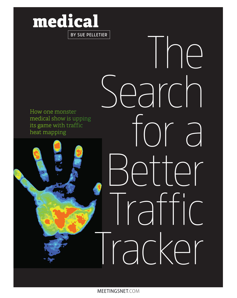## **medical BY SUE PELLETIER**

How one monster medical show is upping its game with traffic heat mapping

The

for a

Ar

Search

Traffic

Tracker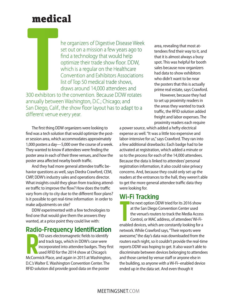### **medical**

he organizers of Digestive Disease Week set out on a mission a few years ago to find a technology that would help optimize their trade show floor. DDW, which is a regular on the Healthcare Convention and Exhibitors Associations list of Top 50 medical trade shows, draws around 14,000 attendees and

**THE CATE** 300 exhibitors to the convention. Because DDW rotates annually between Washington, D.C.; Chicago; and San Diego, Calif., the show floor layout has to adapt to a different venue every year.

The first thing DDW organizers were looking to find was a tech solution that would optimize the poster session area, which accommodates approximately 1,000 posters a day—5,000 over the course of a week. They wanted to know if attendees were finding the poster area in each of their three venues, and how the poster area affected nearby booth traffic.

And they had more general attendee traffic behavior questions as well, says Diedra Crawford, CEM, CMP, DDW's industry sales and operations director. What insights could they glean from tracking attendee traffic to improve the flow? How does the traffic vary from city to city due to the different floor plans? Is it possible to get real-time information in order to make adjustments on site?

DDW experimented with a few technologies to find one that would give them the answers they wanted, at a price point they could live with:

#### **Radio-Frequency Identification**

FID uses electromagnetic fields to identify<br>and track tags, which in DDW's case were<br>incorporated into attendee badges. They firs<br>used RFID for the 2014 show at Chicago's<br>McCormick Place, and again in 2015 at Washington, FID uses electromagnetic fields to identify and track tags, which in DDW's case were incorporated into attendee badges. They first used RFID for the 2014 show at Chicago's D.C.'s Walter E. Washington Convention Center. The RFID solution did provide good data on the poster

area, revealing that most attendees find their way to it, and that it is almost always a busy spot. This was helpful for booth sales because now organizers had data to show exhibitors who didn't want to be near the posters that this is actually prime real estate, says Crawford.

However, because they had to set up proximity readers in the areas they wanted to track traffic, the RFID solution added freight and labor expenses. The proximity readers each require

a power source, which added a hefty electrical expense as well. "It was a little too expensive and labor-intensive for us," says Crawford. They ran into a few additional drawbacks: Each badge had to be activated at registration, which added a minute or so to the process for each of the 14,000 attendees. Because the data is linked to attendees' personal registration information, it also could raise privacy concerns. And, because they could only set up the readers at the entrances to the hall, they weren't able to get the more general attendee traffic data they were looking for.

#### **Wi-Fi Tracking**

**The next option DDW tried for its 2016 show**<br>
at the San Diego Convention Center used<br>
the venue's routers to track the Media Access<br>
Control, or MAC address, of attendees' Wi-Fi-<br>
enabled devices, which are constantly lo he next option DDW tried for its 2016 show at the San Diego Convention Center used the venue's routers to track the Media Access Control, or MAC address, of attendees' Wi-Finetwork. While Crawford says, "Their reports were awesome," the day's data was downloaded from the routers each night, so it couldn't provide the real-time reports DDW was hoping to get. It also wasn't able to discriminate between devices belonging to attendees and those carried by venue staff or anyone else in the building, so anyone with a Wi-Fi–enabled device ended up in the data set. And even though it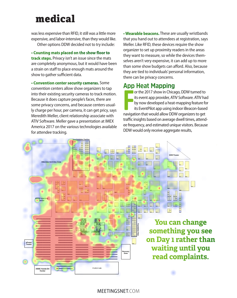### **medical**

was less expensive than RFID, it still was a little more expensive, and labor-intensive, than they would like. Other options DDW decided not to try include:

**• Counting mats placed on the show floor to track steps.** Privacy isn't an issue since the mats are completely anonymous, but it would have been a strain on staff to place enough mats around the show to gather sufficient data.

**• Convention center security cameras.** Some convention centers allow show organizers to tap into their existing security cameras to track motion. Because it does capture people's faces, there are some privacy concerns, and because centers usually charge per hour, per camera, it can get pricy, says Meredith Meller, client relationship associate with ATIV Software. Meller gave a presentation at IMEX America 2017 on the various technologies available for attendee tracking.

**• Wearable beacons.** These are usually wristbands that you hand out to attendees at registration, says Meller. Like RFID, these devices require the show organizer to set up proximity readers in the areas they want to measure, so while the devices themselves aren't very expensive, it can add up to more than some show budgets can afford. Also, because they are tied to individuals' personal information, there can be privacy concerns.

#### **App Heat Mapping**

Franch Computer of the 2017 show in Chicago, DDW turned to<br>
its event app provider, ATIV Software. ATIV ha<br>
by now developed a heat-mapping feature for<br>
its EventPilot app using indoor iBeacon-based<br>
navigation that would or the 2017 show in Chicago, DDW turned to its event app provider, ATIV Software. ATIV had by now developed a heat-mapping feature for its EventPilot app using indoor iBeacon-based traffic insights based on average dwell times, attendee frequency, and estimated unique visitors. Because DDW would only receive aggregate results,



MEETINGSNET.COM